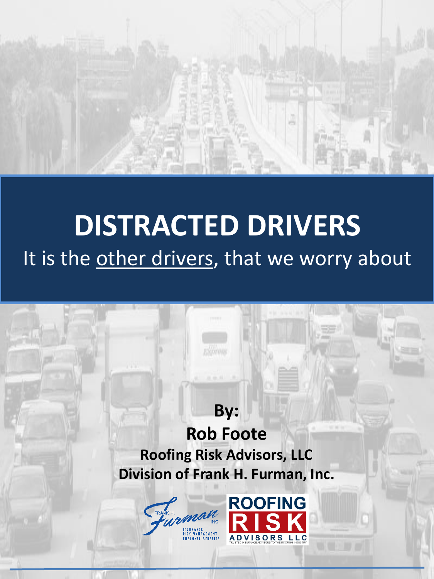

# **DISTRACTED DRIVERS** It is the other drivers, that we worry about

#### **By: Rob Foote Roofing Risk Advisors, LLC Division of Frank H. Furman, Inc.**



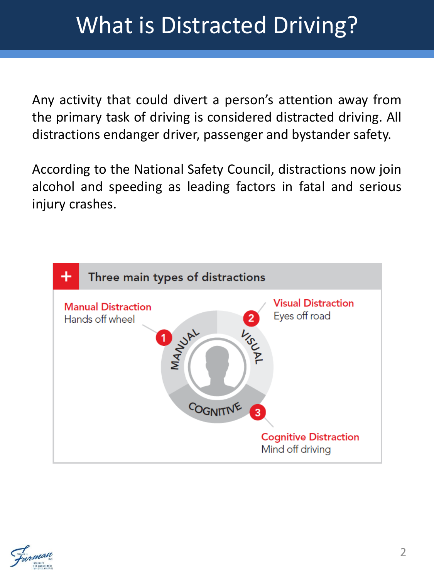Any activity that could divert a person's attention away from the primary task of driving is considered distracted driving. All distractions endanger driver, passenger and bystander safety.

According to the National Safety Council, distractions now join alcohol and speeding as leading factors in fatal and serious injury crashes.



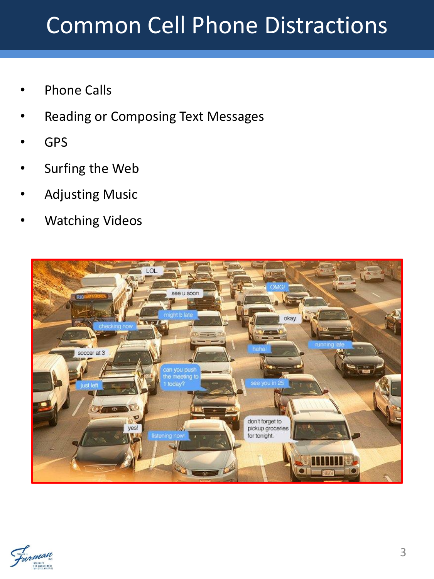## Common Cell Phone Distractions

- **Phone Calls**
- Reading or Composing Text Messages
- GPS
- Surfing the Web
- Adjusting Music
- Watching Videos



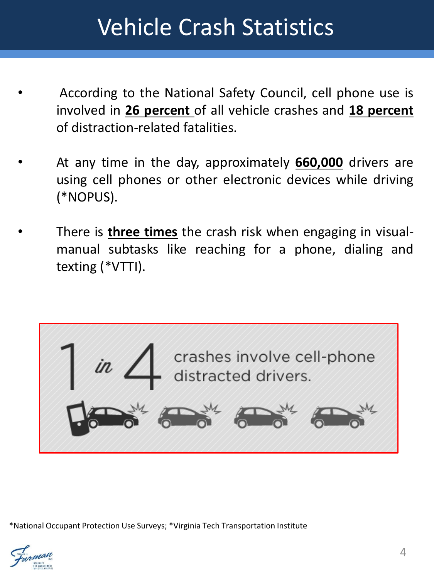## Vehicle Crash Statistics

- According to the National Safety Council, cell phone use is involved in **26 percent** of all vehicle crashes and **18 percent** of distraction-related fatalities.
- At any time in the day, approximately **660,000** drivers are using cell phones or other electronic devices while driving (\*NOPUS).
- There is **three times** the crash risk when engaging in visualmanual subtasks like reaching for a phone, dialing and texting (\*VTTI).



\*National Occupant Protection Use Surveys; \*Virginia Tech Transportation Institute

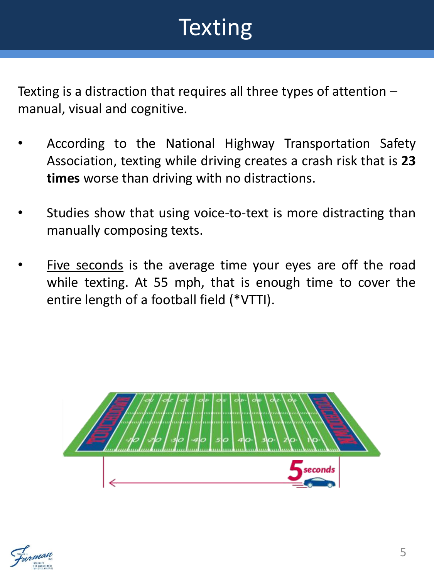## **Texting**

Texting is a distraction that requires all three types of attention – manual, visual and cognitive.

- According to the National Highway Transportation Safety Association, texting while driving creates a crash risk that is **23 times** worse than driving with no distractions.
- Studies show that using voice-to-text is more distracting than manually composing texts.
- Five seconds is the average time your eyes are off the road while texting. At 55 mph, that is enough time to cover the entire length of a football field (\*VTTI).



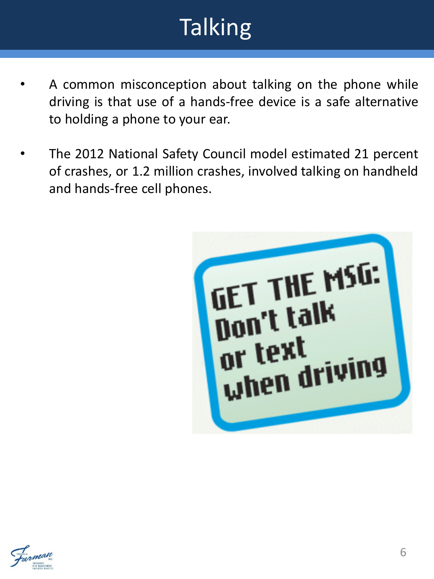## **Talking**

- A common misconception about talking on the phone while driving is that use of a hands-free device is a safe alternative to holding a phone to your ear.
- The 2012 National Safety Council model estimated 21 percent of crashes, or 1.2 million crashes, involved talking on handheld and hands-free cell phones.



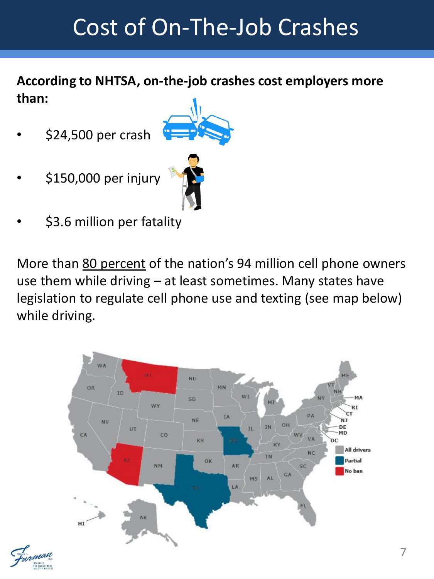## Cost of On-The-Job Crashes

**According to NHTSA, on-the-job crashes cost employers more than:** 

- \$24,500 per crash
- \$150,000 per injury
- \$3.6 million per fatality

More than 80 percent of the nation's 94 million cell phone owners use them while driving – at least sometimes. Many states have legislation to regulate cell phone use and texting (see map below) while driving.